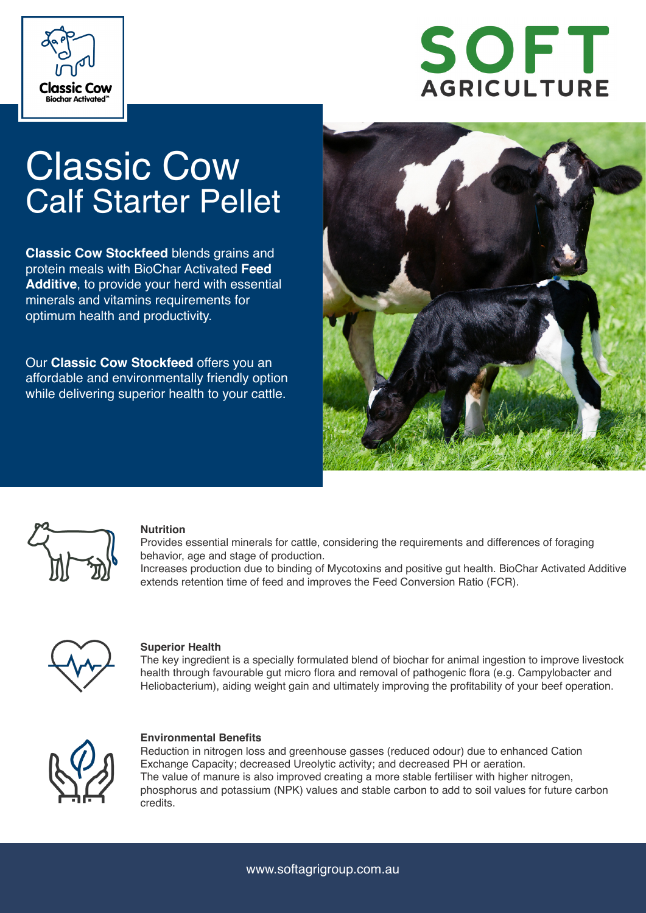



# **Classic Cow** Calf Starter Pellet

**Classic Cow Stockfeed** blends grains and protein meals with BioChar Activated **Feed Additive**, to provide your herd with essential minerals and vitamins requirements for optimum health and productivity.

Our **Classic Cow Stockfeed** offers you an affordable and environmentally friendly option while delivering superior health to your cattle.





#### **Nutrition**

Provides essential minerals for cattle, considering the requirements and differences of foraging behavior, age and stage of production.

Increases production due to binding of Mycotoxins and positive gut health. BioChar Activated Additive extends retention time of feed and improves the Feed Conversion Ratio (FCR).



#### **Superior Health**

The key ingredient is a specially formulated blend of biochar for animal ingestion to improve livestock health through favourable gut micro flora and removal of pathogenic flora (e.g. Campylobacter and Heliobacterium), aiding weight gain and ultimately improving the profitability of your beef operation.



#### **Environmental Benefits**

Reduction in nitrogen loss and greenhouse gasses (reduced odour) due to enhanced Cation Exchange Capacity; decreased Ureolytic activity; and decreased PH or aeration. The value of manure is also improved creating a more stable fertiliser with higher nitrogen, phosphorus and potassium (NPK) values and stable carbon to add to soil values for future carbon credits.